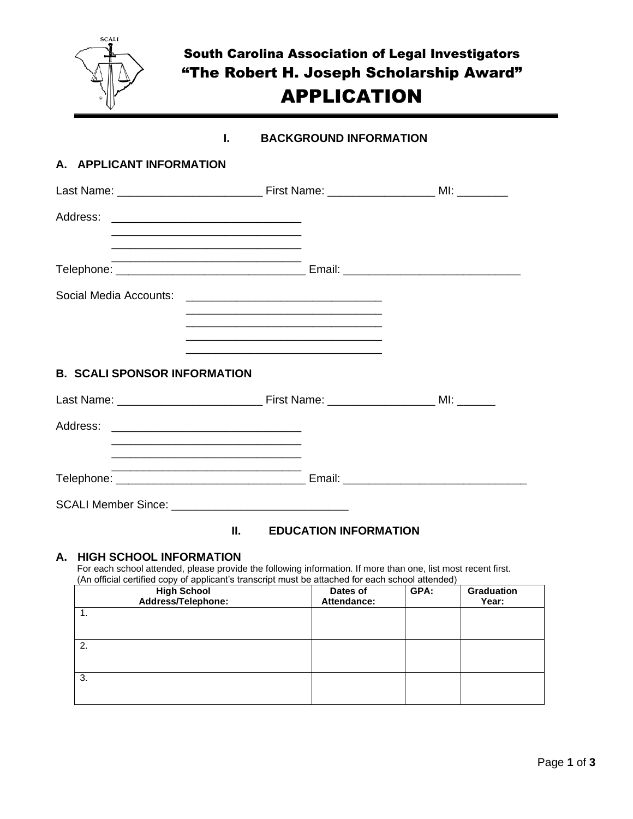

# South Carolina Association of Legal Investigators "The Robert H. Joseph Scholarship Award" APPLICATION

# **I. BACKGROUND INFORMATION**

# **A. APPLICANT INFORMATION**

| <u> 1989 - Jan James James James James James James James James James James James James James James James James J</u>                                                                 |                                                                                                                      |  |
|--------------------------------------------------------------------------------------------------------------------------------------------------------------------------------------|----------------------------------------------------------------------------------------------------------------------|--|
| <u> 1989 - Johann Stoff, amerikansk politiker (d. 1989)</u>                                                                                                                          |                                                                                                                      |  |
|                                                                                                                                                                                      | <u> 1989 - Johann John Stoff, deutscher Stoffen und der Stoffen und der Stoffen und der Stoffen und der Stoffen</u>  |  |
|                                                                                                                                                                                      | <u> 1980 - Johann John Stone, markin film yn y brenin y brenin y brenin y brenin y brenin y brenin y brenin y br</u> |  |
| <b>B. SCALI SPONSOR INFORMATION</b>                                                                                                                                                  | <u> 1989 - Johann Stoff, Amerikaansk politiker (* 1908)</u>                                                          |  |
|                                                                                                                                                                                      |                                                                                                                      |  |
| <u> 1989 - Johann Stoff, deutscher Stoff, der Stoff, der Stoff, der Stoff, der Stoff, der Stoff, der Stoff, der S</u>                                                                |                                                                                                                      |  |
| <u> 1980 - Johann Stoff, Amerikaansk politiker (* 1901)</u><br><u> 1989 - Johann Johann Stoff, deutscher Stoffen und der Stoffen und der Stoffen und der Stoffen und der Stoffen</u> |                                                                                                                      |  |
|                                                                                                                                                                                      |                                                                                                                      |  |

# **II. EDUCATION INFORMATION**

#### **A. HIGH SCHOOL INFORMATION**

For each school attended, please provide the following information. If more than one, list most recent first. (An official certified copy of applicant's transcript must be attached for each school attended)

| <b>High School</b><br>Address/Telephone: | Dates of<br>Attendance: | GPA: | Graduation<br>Year: |
|------------------------------------------|-------------------------|------|---------------------|
| 1.                                       |                         |      |                     |
| 2.                                       |                         |      |                     |
| 3.                                       |                         |      |                     |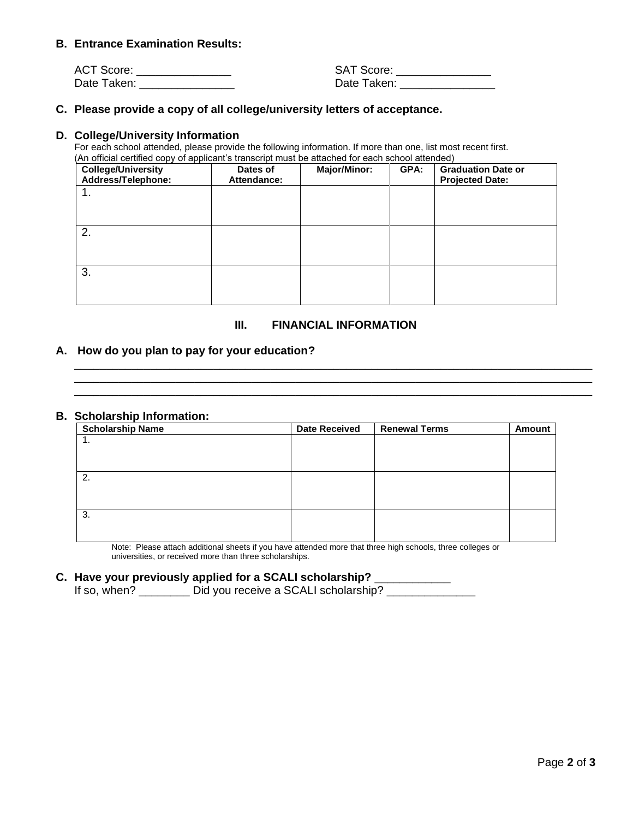#### **B. Entrance Examination Results:**

| <b>ACT Score:</b> | <b>SAT Score:</b> |
|-------------------|-------------------|
| Date Taken:       | Date Taken:       |

#### **C. Please provide a copy of all college/university letters of acceptance.**

#### **D. College/University Information**

For each school attended, please provide the following information. If more than one, list most recent first. (An official certified copy of applicant's transcript must be attached for each school attended)

| <b>College/University</b><br>Address/Telephone: | Dates of<br>Attendance: | <b>Major/Minor:</b> | GPA: | <b>Graduation Date or</b><br><b>Projected Date:</b> |
|-------------------------------------------------|-------------------------|---------------------|------|-----------------------------------------------------|
| 1.                                              |                         |                     |      |                                                     |
|                                                 |                         |                     |      |                                                     |
| 2.                                              |                         |                     |      |                                                     |
|                                                 |                         |                     |      |                                                     |
| 3.                                              |                         |                     |      |                                                     |
|                                                 |                         |                     |      |                                                     |

#### **III. FINANCIAL INFORMATION**

\_\_\_\_\_\_\_\_\_\_\_\_\_\_\_\_\_\_\_\_\_\_\_\_\_\_\_\_\_\_\_\_\_\_\_\_\_\_\_\_\_\_\_\_\_\_\_\_\_\_\_\_\_\_\_\_\_\_\_\_\_\_\_\_\_\_\_\_\_\_\_\_\_\_\_\_\_\_\_\_\_\_ \_\_\_\_\_\_\_\_\_\_\_\_\_\_\_\_\_\_\_\_\_\_\_\_\_\_\_\_\_\_\_\_\_\_\_\_\_\_\_\_\_\_\_\_\_\_\_\_\_\_\_\_\_\_\_\_\_\_\_\_\_\_\_\_\_\_\_\_\_\_\_\_\_\_\_\_\_\_\_\_\_\_ \_\_\_\_\_\_\_\_\_\_\_\_\_\_\_\_\_\_\_\_\_\_\_\_\_\_\_\_\_\_\_\_\_\_\_\_\_\_\_\_\_\_\_\_\_\_\_\_\_\_\_\_\_\_\_\_\_\_\_\_\_\_\_\_\_\_\_\_\_\_\_\_\_\_\_\_\_\_\_\_\_\_

#### **A. How do you plan to pay for your education?**

#### **B. Scholarship Information:**

| <b>Scholarship Name</b> | <b>Date Received</b> | <b>Renewal Terms</b> | <b>Amount</b> |
|-------------------------|----------------------|----------------------|---------------|
| . .                     |                      |                      |               |
|                         |                      |                      |               |
|                         |                      |                      |               |
| 2.                      |                      |                      |               |
|                         |                      |                      |               |
|                         |                      |                      |               |
| 3.                      |                      |                      |               |
|                         |                      |                      |               |
|                         |                      |                      |               |

Note: Please attach additional sheets if you have attended more that three high schools, three colleges or universities, or received more than three scholarships.

# **C. Have your previously applied for a SCALI scholarship?** \_\_\_\_\_\_\_\_\_\_\_\_

If so, when? \_\_\_\_\_\_\_\_\_ Did you receive a SCALI scholarship? \_\_\_\_\_\_\_\_\_\_\_\_\_\_\_\_\_\_\_\_